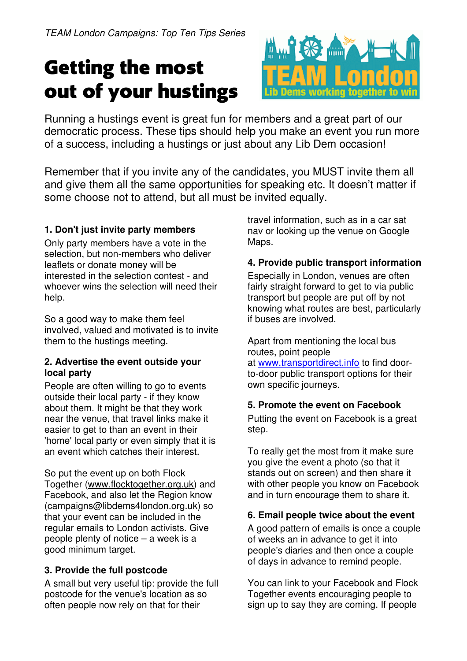# Getting the most out of your hustings



Running a hustings event is great fun for members and a great part of our democratic process. These tips should help you make an event you run more of a success, including a hustings or just about any Lib Dem occasion!

Remember that if you invite any of the candidates, you MUST invite them all and give them all the same opportunities for speaking etc. It doesn't matter if some choose not to attend, but all must be invited equally.

## **1. Don't just invite party members**

Only party members have a vote in the selection, but non-members who deliver leaflets or donate money will be interested in the selection contest - and whoever wins the selection will need their help.

So a good way to make them feel involved, valued and motivated is to invite them to the hustings meeting.

#### **2. Advertise the event outside your local party**

People are often willing to go to events outside their local party - if they know about them. It might be that they work near the venue, that travel links make it easier to get to than an event in their 'home' local party or even simply that it is an event which catches their interest.

So put the event up on both Flock Together (www.flocktogether.org.uk) and Facebook, and also let the Region know (campaigns@libdems4london.org.uk) so that your event can be included in the regular emails to London activists. Give people plenty of notice – a week is a good minimum target.

## **3. Provide the full postcode**

A small but very useful tip: provide the full postcode for the venue's location as so often people now rely on that for their

travel information, such as in a car sat nav or looking up the venue on Google Maps.

#### **4. Provide public transport information**

Especially in London, venues are often fairly straight forward to get to via public transport but people are put off by not knowing what routes are best, particularly if buses are involved.

Apart from mentioning the local bus routes, point people at www.transportdirect.info to find doorto-door public transport options for their own specific journeys.

## **5. Promote the event on Facebook**

Putting the event on Facebook is a great step.

To really get the most from it make sure you give the event a photo (so that it stands out on screen) and then share it with other people you know on Facebook and in turn encourage them to share it.

## **6. Email people twice about the event**

A good pattern of emails is once a couple of weeks an in advance to get it into people's diaries and then once a couple of days in advance to remind people.

You can link to your Facebook and Flock Together events encouraging people to sign up to say they are coming. If people